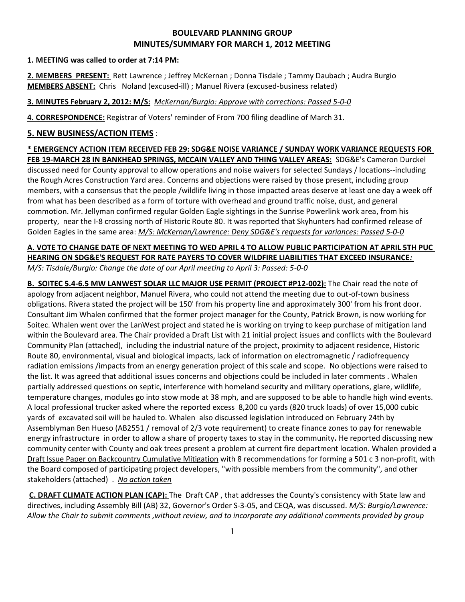# **BOULEVARD PLANNING GROUP MINUTES/SUMMARY FOR MARCH 1, 2012 MEETING**

#### **1. MEETING was called to order at 7:14 PM:**

**2. MEMBERS PRESENT:** Rett Lawrence ; Jeffrey McKernan ; Donna Tisdale ; Tammy Daubach ; Audra Burgio **MEMBERS ABSENT:** Chris Noland (excused-ill) ; Manuel Rivera (excused-business related)

## **3. MINUTES February 2, 2012: M/S:** *McKernan/Burgio: Approve with corrections: Passed 5-0-0*

**4. CORRESPONDENCE:** Registrar of Voters' reminder of From 700 filing deadline of March 31.

# **5. NEW BUSINESS/ACTION ITEMS** :

## **\* EMERGENCY ACTION ITEM RECEIVED FEB 29: SDG&E NOISE VARIANCE / SUNDAY WORK VARIANCE REQUESTS FOR FEB 19-MARCH 28 IN BANKHEAD SPRINGS, MCCAIN VALLEY AND THING VALLEY AREAS:** SDG&E's Cameron Durckel discussed need for County approval to allow operations and noise waivers for selected Sundays / locations--including the Rough Acres Construction Yard area. Concerns and objections were raised by those present, including group members, with a consensus that the people /wildlife living in those impacted areas deserve at least one day a week off from what has been described as a form of torture with overhead and ground traffic noise, dust, and general commotion. Mr. Jellyman confirmed regular Golden Eagle sightings in the Sunrise Powerlink work area, from his property, near the I-8 crossing north of Historic Route 80. It was reported that Skyhunters had confirmed release of Golden Eagles in the same area: *M/S: McKernan/Lawrence: Deny SDG&E's requests for variances: Passed 5-0-0*

### **A. VOTE TO CHANGE DATE OF NEXT MEETING TO WED APRIL 4 TO ALLOW PUBLIC PARTICIPATION AT APRIL 5TH PUC HEARING ON SDG&E'S REQUEST FOR RATE PAYERS TO COVER WILDFIRE LIABILITIES THAT EXCEED INSURANCE***: M/S: Tisdale/Burgio: Change the date of our April meeting to April 3: Passed: 5-0-0*

**B. SOITEC 5.4-6.5 MW LANWEST SOLAR LLC MAJOR USE PERMIT (PROJECT #P12-002):** The Chair read the note of apology from adjacent neighbor, Manuel Rivera, who could not attend the meeting due to out-of-town business obligations. Rivera stated the project will be 150' from his property line and approximately 300' from his front door. Consultant Jim Whalen confirmed that the former project manager for the County, Patrick Brown, is now working for Soitec. Whalen went over the LanWest project and stated he is working on trying to keep purchase of mitigation land within the Boulevard area. The Chair provided a Draft List with 21 initial project issues and conflicts with the Boulevard Community Plan (attached), including the industrial nature of the project, proximity to adjacent residence, Historic Route 80, environmental, visual and biological impacts, lack of information on electromagnetic / radiofrequency radiation emissions /impacts from an energy generation project of this scale and scope. No objections were raised to the list. It was agreed that additional issues concerns and objections could be included in later comments . Whalen partially addressed questions on septic, interference with homeland security and military operations, glare, wildlife, temperature changes, modules go into stow mode at 38 mph, and are supposed to be able to handle high wind events. A local professional trucker asked where the reported excess 8,200 cu yards (820 truck loads) of over 15,000 cubic yards of excavated soil will be hauled to. Whalen also discussed legislation introduced on February 24th by Assemblyman Ben Hueso (AB2551 / removal of 2/3 vote requirement) to create finance zones to pay for renewable energy infrastructure in order to allow a share of property taxes to stay in the community**.** He reported discussing new community center with County and oak trees present a problem at current fire department location. Whalen provided a Draft Issue Paper on Backcountry Cumulative Mitigation with 8 recommendations for forming a 501 c 3 non-profit, with the Board composed of participating project developers, "with possible members from the community", and other stakeholders (attached) .*No action taken*

**C. DRAFT CLIMATE ACTION PLAN (CAP):** The Draft CAP , that addresses the County's consistency with State law and directives, including Assembly Bill (AB) 32, Governor's Order S-3-05, and CEQA, was discussed. *M/S: Burgio/Lawrence: Allow the Chair to submit comments ,without review, and to incorporate any additional comments provided by group*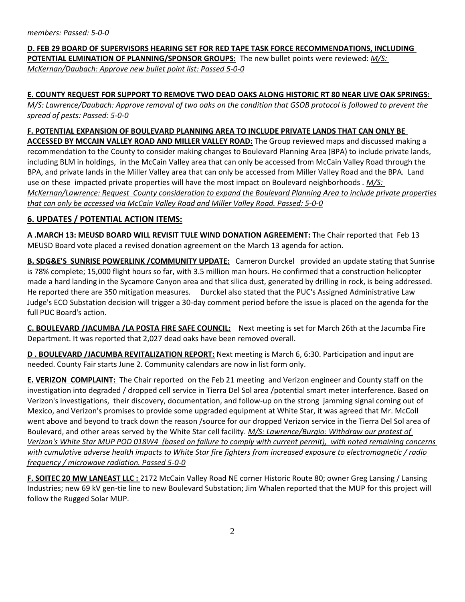## **D. FEB 29 BOARD OF SUPERVISORS HEARING SET FOR RED TAPE TASK FORCE RECOMMENDATIONS, INCLUDING POTENTIAL ELMINATION OF PLANNING/SPONSOR GROUPS:** The new bullet points were reviewed: *M/S: McKernan/Daubach: Approve new bullet point list: Passed 5-0-0*

#### **E. COUNTY REQUEST FOR SUPPORT TO REMOVE TWO DEAD OAKS ALONG HISTORIC RT 80 NEAR LIVE OAK SPRINGS:**

*M/S: Lawrence/Daubach: Approve removal of two oaks on the condition that GSOB protocol is followed to prevent the spread of pests: Passed: 5-0-0*

#### **F. POTENTIAL EXPANSION OF BOULEVARD PLANNING AREA TO INCLUDE PRIVATE LANDS THAT CAN ONLY BE**

**ACCESSED BY MCCAIN VALLEY ROAD AND MILLER VALLEY ROAD:** The Group reviewed maps and discussed making a recommendation to the County to consider making changes to Boulevard Planning Area (BPA) to include private lands, including BLM in holdings, in the McCain Valley area that can only be accessed from McCain Valley Road through the BPA, and private lands in the Miller Valley area that can only be accessed from Miller Valley Road and the BPA. Land use on these impacted private properties will have the most impact on Boulevard neighborhoods . *M/S: McKernan/Lawrence: Request County consideration to expand the Boulevard Planning Area to include private properties that can only be accessed via McCain Valley Road and Miller Valley Road. Passed: 5-0-0*

### **6. UPDATES / POTENTIAL ACTION ITEMS:**

**A .MARCH 13: MEUSD BOARD WILL REVISIT TULE WIND DONATION AGREEMENT:** The Chair reported that Feb 13 MEUSD Board vote placed a revised donation agreement on the March 13 agenda for action.

**B. SDG&E'S SUNRISE POWERLINK / COMMUNITY UPDATE:** Cameron Durckel provided an update stating that Sunrise is 78% complete; 15,000 flight hours so far, with 3.5 million man hours. He confirmed that a construction helicopter made a hard landing in the Sycamore Canyon area and that silica dust, generated by drilling in rock, is being addressed. He reported there are 350 mitigation measures. Durckel also stated that the PUC's Assigned Administrative Law Judge's ECO Substation decision will trigger a 30-day comment period before the issue is placed on the agenda for the full PUC Board's action.

**C. BOULEVARD /JACUMBA /LA POSTA FIRE SAFE COUNCIL:** Next meeting is set for March 26th at the Jacumba Fire Department. It was reported that 2,027 dead oaks have been removed overall.

**D . BOULEVARD /JACUMBA REVITALIZATION REPORT:** Next meeting is March 6, 6:30. Participation and input are needed. County Fair starts June 2. Community calendars are now in list form only.

**E. VERIZON COMPLAINT:** The Chair reported on the Feb 21 meeting and Verizon engineer and County staff on the investigation into degraded / dropped cell service in Tierra Del Sol area /potential smart meter interference. Based on Verizon's investigations, their discovery, documentation, and follow-up on the strong jamming signal coming out of Mexico, and Verizon's promises to provide some upgraded equipment at White Star, it was agreed that Mr. McColl went above and beyond to track down the reason /source for our dropped Verizon service in the Tierra Del Sol area of Boulevard, and other areas served by the White Star cell facility. *M/S: Lawrence/Burgio: Withdraw our protest of Verizon's White Star MUP POD 018W4 (based on failure to comply with current permit), with noted remaining concerns with cumulative adverse health impacts to White Star fire fighters from increased exposure to electromagnetic / radio frequency / microwave radiation. Passed 5-0-0*

**F. SOITEC 20 MW LANEAST LLC :** 2172 McCain Valley Road NE corner Historic Route 80; owner Greg Lansing / Lansing Industries; new 69 kV gen-tie line to new Boulevard Substation; Jim Whalen reported that the MUP for this project will follow the Rugged Solar MUP.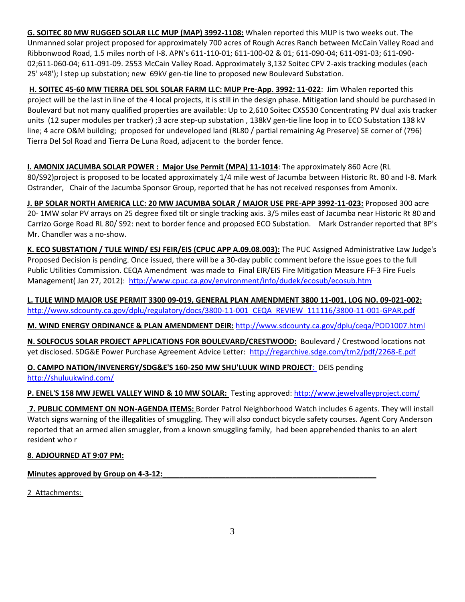**G. SOITEC 80 MW RUGGED SOLAR LLC MUP (MAP) 3992-1108:** Whalen reported this MUP is two weeks out. The Unmanned solar project proposed for approximately 700 acres of Rough Acres Ranch between McCain Valley Road and Ribbonwood Road, 1.5 miles north of I-8. APN's 611-110-01; 611-100-02 & 01; 611-090-04; 611-091-03; 611-090- 02;611-060-04; 611-091-09. 2553 McCain Valley Road. Approximately 3,132 Soitec CPV 2-axis tracking modules (each 25' x48'); l step up substation; new 69kV gen-tie line to proposed new Boulevard Substation.

**H. SOITEC 45-60 MW TIERRA DEL SOL SOLAR FARM LLC: MUP Pre-App. 3992: 11-022**: Jim Whalen reported this project will be the last in line of the 4 local projects, it is still in the design phase. Mitigation land should be purchased in Boulevard but not many qualified properties are available: Up to 2,610 Soitec CXS530 Concentrating PV dual axis tracker units (12 super modules per tracker) ;3 acre step-up substation , 138kV gen-tie line loop in to ECO Substation 138 kV line; 4 acre O&M building; proposed for undeveloped land (RL80 / partial remaining Ag Preserve) SE corner of (796) Tierra Del Sol Road and Tierra De Luna Road, adjacent to the border fence.

**I. AMONIX JACUMBA SOLAR POWER : Major Use Permit (MPA) 11-1014**: The approximately 860 Acre (RL 80/S92)project is proposed to be located approximately 1/4 mile west of Jacumba between Historic Rt. 80 and I-8. Mark Ostrander, Chair of the Jacumba Sponsor Group, reported that he has not received responses from Amonix.

**J. BP SOLAR NORTH AMERICA LLC: 20 MW JACUMBA SOLAR / MAJOR USE PRE-APP 3992-11-023:** Proposed 300 acre 20- 1MW solar PV arrays on 25 degree fixed tilt or single tracking axis. 3/5 miles east of Jacumba near Historic Rt 80 and Carrizo Gorge Road RL 80/ S92: next to border fence and proposed ECO Substation. Mark Ostrander reported that BP's Mr. Chandler was a no-show.

**K. ECO SUBSTATION / TULE WIND/ ESJ FEIR/EIS (CPUC APP A.09.08.003):** The PUC Assigned Administrative Law Judge's Proposed Decision is pending. Once issued, there will be a 30-day public comment before the issue goes to the full Public Utilities Commission. CEQA Amendment was made to Final EIR/EIS Fire Mitigation Measure FF-3 Fire Fuels Management( Jan 27, 2012): <http://www.cpuc.ca.gov/environment/info/dudek/ecosub/ecosub.htm>

**L. TULE WIND MAJOR USE PERMIT 3300 09-019, GENERAL PLAN AMENDMENT 3800 11-001, LOG NO. 09-021-002:** [http://www.sdcounty.ca.gov/dplu/regulatory/docs/3800-11-001\\_CEQA\\_REVIEW\\_111116/3800-11-001-GPAR.pdf](http://www.sdcounty.ca.gov/dplu/regulatory/docs/3800-11-001_CEQA_REVIEW_111116/3800-11-001-GPAR.pdf)

**M. WIND ENERGY ORDINANCE & PLAN AMENDMENT DEIR:** <http://www.sdcounty.ca.gov/dplu/ceqa/POD1007.html>

**N. SOLFOCUS SOLAR PROJECT APPLICATIONS FOR BOULEVARD/CRESTWOOD:** Boulevard / Crestwood locations not yet disclosed. SDG&E Power Purchase Agreement Advice Letter: <http://regarchive.sdge.com/tm2/pdf/2268-E.pdf>

**O. CAMPO NATION/INVENERGY/SDG&E'S 160-250 MW SHU'LUUK WIND PROJECT**[: DEIS pending](file:///C:/Users/Donna%20and%20Ed/Documents/:%20%20%20%20http:/shuluukwind.com/)  [http://shuluukwind.com/](file:///C:/Users/Donna%20and%20Ed/Documents/:%20%20%20%20http:/shuluukwind.com/)

**P. ENEL'S 158 MW JEWEL VALLEY WIND & 10 MW SOLAR:** Testing approved: <http://www.jewelvalleyproject.com/>

**7. PUBLIC COMMENT ON NON-AGENDA ITEMS:** Border Patrol Neighborhood Watch includes 6 agents. They will install Watch signs warning of the illegalities of smuggling. They will also conduct bicycle safety courses. Agent Cory Anderson reported that an armed alien smuggler, from a known smuggling family, had been apprehended thanks to an alert resident who r

## **8. ADJOURNED AT 9:07 PM:**

# **Minutes approved by Group on 4-3-12:**

2 Attachments: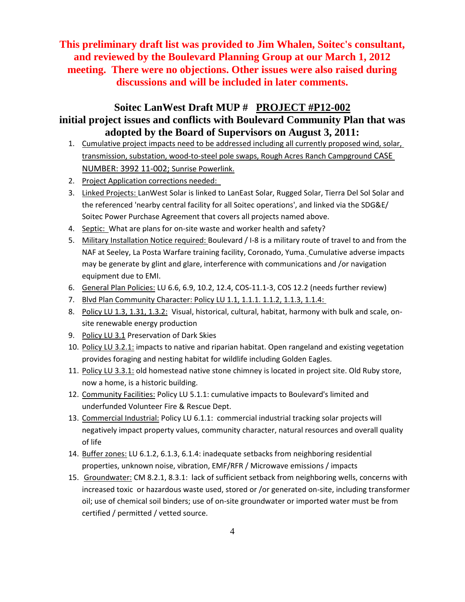# **This preliminary draft list was provided to Jim Whalen, Soitec's consultant, and reviewed by the Boulevard Planning Group at our March 1, 2012 meeting. There were no objections. Other issues were also raised during discussions and will be included in later comments.**

# **Soitec LanWest Draft MUP # PROJECT #P12-002 initial project issues and conflicts with Boulevard Community Plan that was adopted by the Board of Supervisors on August 3, 2011:**

- 1. Cumulative project impacts need to be addressed including all currently proposed wind, solar, transmission, substation, wood-to-steel pole swaps, Rough Acres Ranch Campground CASE NUMBER: 3992 11-002; Sunrise Powerlink.
- 2. Project Application corrections needed:
- 3. Linked Projects: LanWest Solar is linked to LanEast Solar, Rugged Solar, Tierra Del Sol Solar and the referenced 'nearby central facility for all Soitec operations', and linked via the SDG&E/ Soitec Power Purchase Agreement that covers all projects named above.
- 4. Septic: What are plans for on-site waste and worker health and safety?
- 5. Military Installation Notice required: Boulevard / I-8 is a military route of travel to and from the NAF at Seeley, La Posta Warfare training facility, Coronado, Yuma. Cumulative adverse impacts may be generate by glint and glare, interference with communications and /or navigation equipment due to EMI.
- 6. General Plan Policies: LU 6.6, 6.9, 10.2, 12.4, COS-11.1-3, COS 12.2 (needs further review)
- 7. Blvd Plan Community Character: Policy LU 1.1, 1.1.1. 1.1.2, 1.1.3, 1.1.4:
- 8. Policy LU 1.3, 1.31, 1.3.2: Visual, historical, cultural, habitat, harmony with bulk and scale, onsite renewable energy production
- 9. Policy LU 3.1 Preservation of Dark Skies
- 10. Policy LU 3.2.1: impacts to native and riparian habitat. Open rangeland and existing vegetation provides foraging and nesting habitat for wildlife including Golden Eagles.
- 11. Policy LU 3.3.1: old homestead native stone chimney is located in project site. Old Ruby store, now a home, is a historic building.
- 12. Community Facilities: Policy LU 5.1.1: cumulative impacts to Boulevard's limited and underfunded Volunteer Fire & Rescue Dept.
- 13. Commercial Industrial: Policy LU 6.1.1: commercial industrial tracking solar projects will negatively impact property values, community character, natural resources and overall quality of life
- 14. Buffer zones: LU 6.1.2, 6.1.3, 6.1.4: inadequate setbacks from neighboring residential properties, unknown noise, vibration, EMF/RFR / Microwave emissions / impacts
- 15. Groundwater: CM 8.2.1, 8.3.1: lack of sufficient setback from neighboring wells, concerns with increased toxic or hazardous waste used, stored or /or generated on-site, including transformer oil; use of chemical soil binders; use of on-site groundwater or imported water must be from certified / permitted / vetted source.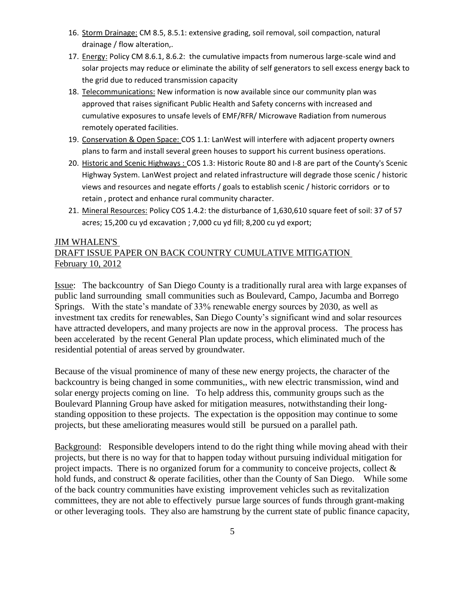- 16. Storm Drainage: CM 8.5, 8.5.1: extensive grading, soil removal, soil compaction, natural drainage / flow alteration,.
- 17. Energy: Policy CM 8.6.1, 8.6.2: the cumulative impacts from numerous large-scale wind and solar projects may reduce or eliminate the ability of self generators to sell excess energy back to the grid due to reduced transmission capacity
- 18. Telecommunications: New information is now available since our community plan was approved that raises significant Public Health and Safety concerns with increased and cumulative exposures to unsafe levels of EMF/RFR/ Microwave Radiation from numerous remotely operated facilities.
- 19. Conservation & Open Space: COS 1.1: LanWest will interfere with adjacent property owners plans to farm and install several green houses to support his current business operations.
- 20. Historic and Scenic Highways : COS 1.3: Historic Route 80 and I-8 are part of the County's Scenic Highway System. LanWest project and related infrastructure will degrade those scenic / historic views and resources and negate efforts / goals to establish scenic / historic corridors or to retain , protect and enhance rural community character.
- 21. Mineral Resources: Policy COS 1.4.2: the disturbance of 1,630,610 square feet of soil: 37 of 57 acres; 15,200 cu yd excavation ; 7,000 cu yd fill; 8,200 cu yd export;

# JIM WHALEN'S DRAFT ISSUE PAPER ON BACK COUNTRY CUMULATIVE MITIGATION February 10, 2012

Issue: The backcountry of San Diego County is a traditionally rural area with large expanses of public land surrounding small communities such as Boulevard, Campo, Jacumba and Borrego Springs. With the state's mandate of 33% renewable energy sources by 2030, as well as investment tax credits for renewables, San Diego County's significant wind and solar resources have attracted developers, and many projects are now in the approval process. The process has been accelerated by the recent General Plan update process, which eliminated much of the residential potential of areas served by groundwater.

Because of the visual prominence of many of these new energy projects, the character of the backcountry is being changed in some communities,, with new electric transmission, wind and solar energy projects coming on line. To help address this, community groups such as the Boulevard Planning Group have asked for mitigation measures, notwithstanding their longstanding opposition to these projects. The expectation is the opposition may continue to some projects, but these ameliorating measures would still be pursued on a parallel path.

Background: Responsible developers intend to do the right thing while moving ahead with their projects, but there is no way for that to happen today without pursuing individual mitigation for project impacts. There is no organized forum for a community to conceive projects, collect & hold funds, and construct & operate facilities, other than the County of San Diego. While some of the back country communities have existing improvement vehicles such as revitalization committees, they are not able to effectively pursue large sources of funds through grant-making or other leveraging tools. They also are hamstrung by the current state of public finance capacity,